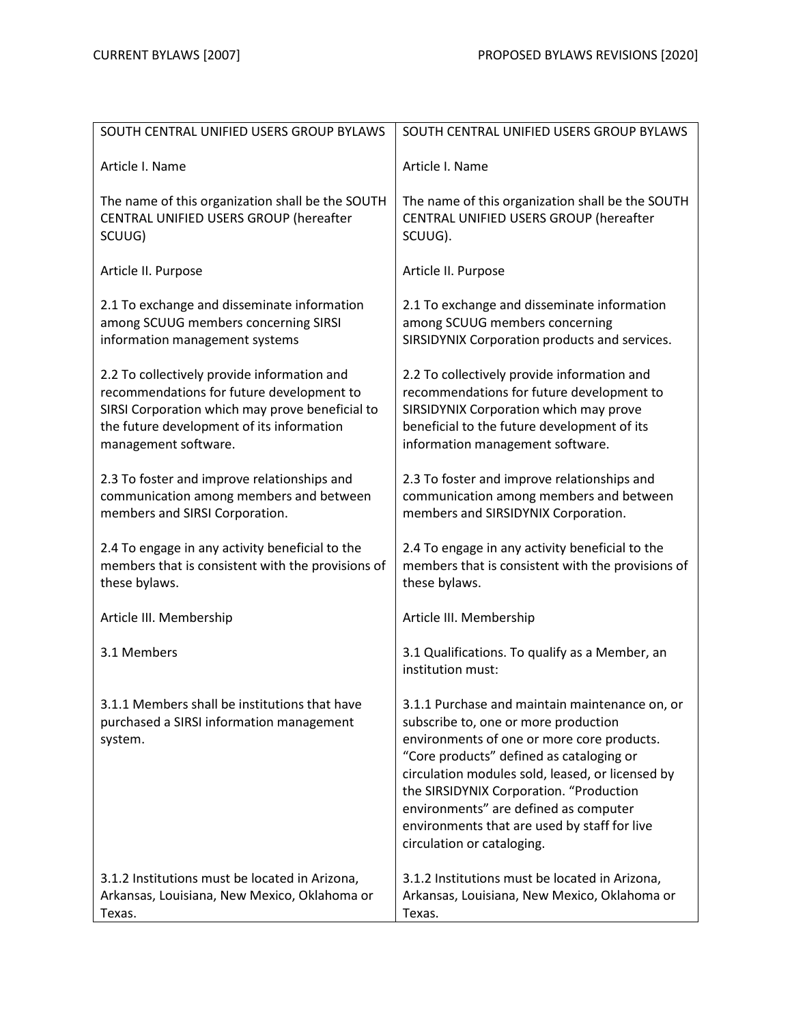| SOUTH CENTRAL UNIFIED USERS GROUP BYLAWS                                                                                                                                                                         | SOUTH CENTRAL UNIFIED USERS GROUP BYLAWS                                                                                                                                                                                                                                                                                                                                                               |
|------------------------------------------------------------------------------------------------------------------------------------------------------------------------------------------------------------------|--------------------------------------------------------------------------------------------------------------------------------------------------------------------------------------------------------------------------------------------------------------------------------------------------------------------------------------------------------------------------------------------------------|
| Article I. Name                                                                                                                                                                                                  | Article I. Name                                                                                                                                                                                                                                                                                                                                                                                        |
| The name of this organization shall be the SOUTH<br>CENTRAL UNIFIED USERS GROUP (hereafter<br>SCUUG)                                                                                                             | The name of this organization shall be the SOUTH<br>CENTRAL UNIFIED USERS GROUP (hereafter<br>SCUUG).                                                                                                                                                                                                                                                                                                  |
| Article II. Purpose                                                                                                                                                                                              | Article II. Purpose                                                                                                                                                                                                                                                                                                                                                                                    |
| 2.1 To exchange and disseminate information<br>among SCUUG members concerning SIRSI<br>information management systems                                                                                            | 2.1 To exchange and disseminate information<br>among SCUUG members concerning<br>SIRSIDYNIX Corporation products and services.                                                                                                                                                                                                                                                                         |
| 2.2 To collectively provide information and<br>recommendations for future development to<br>SIRSI Corporation which may prove beneficial to<br>the future development of its information<br>management software. | 2.2 To collectively provide information and<br>recommendations for future development to<br>SIRSIDYNIX Corporation which may prove<br>beneficial to the future development of its<br>information management software.                                                                                                                                                                                  |
| 2.3 To foster and improve relationships and<br>communication among members and between<br>members and SIRSI Corporation.                                                                                         | 2.3 To foster and improve relationships and<br>communication among members and between<br>members and SIRSIDYNIX Corporation.                                                                                                                                                                                                                                                                          |
| 2.4 To engage in any activity beneficial to the<br>members that is consistent with the provisions of<br>these bylaws.                                                                                            | 2.4 To engage in any activity beneficial to the<br>members that is consistent with the provisions of<br>these bylaws.                                                                                                                                                                                                                                                                                  |
| Article III. Membership                                                                                                                                                                                          | Article III. Membership                                                                                                                                                                                                                                                                                                                                                                                |
| 3.1 Members                                                                                                                                                                                                      | 3.1 Qualifications. To qualify as a Member, an<br>institution must:                                                                                                                                                                                                                                                                                                                                    |
| 3.1.1 Members shall be institutions that have<br>purchased a SIRSI information management<br>system.                                                                                                             | 3.1.1 Purchase and maintain maintenance on, or<br>subscribe to, one or more production<br>environments of one or more core products.<br>"Core products" defined as cataloging or<br>circulation modules sold, leased, or licensed by<br>the SIRSIDYNIX Corporation. "Production<br>environments" are defined as computer<br>environments that are used by staff for live<br>circulation or cataloging. |
| 3.1.2 Institutions must be located in Arizona,<br>Arkansas, Louisiana, New Mexico, Oklahoma or<br>Texas.                                                                                                         | 3.1.2 Institutions must be located in Arizona,<br>Arkansas, Louisiana, New Mexico, Oklahoma or<br>Texas.                                                                                                                                                                                                                                                                                               |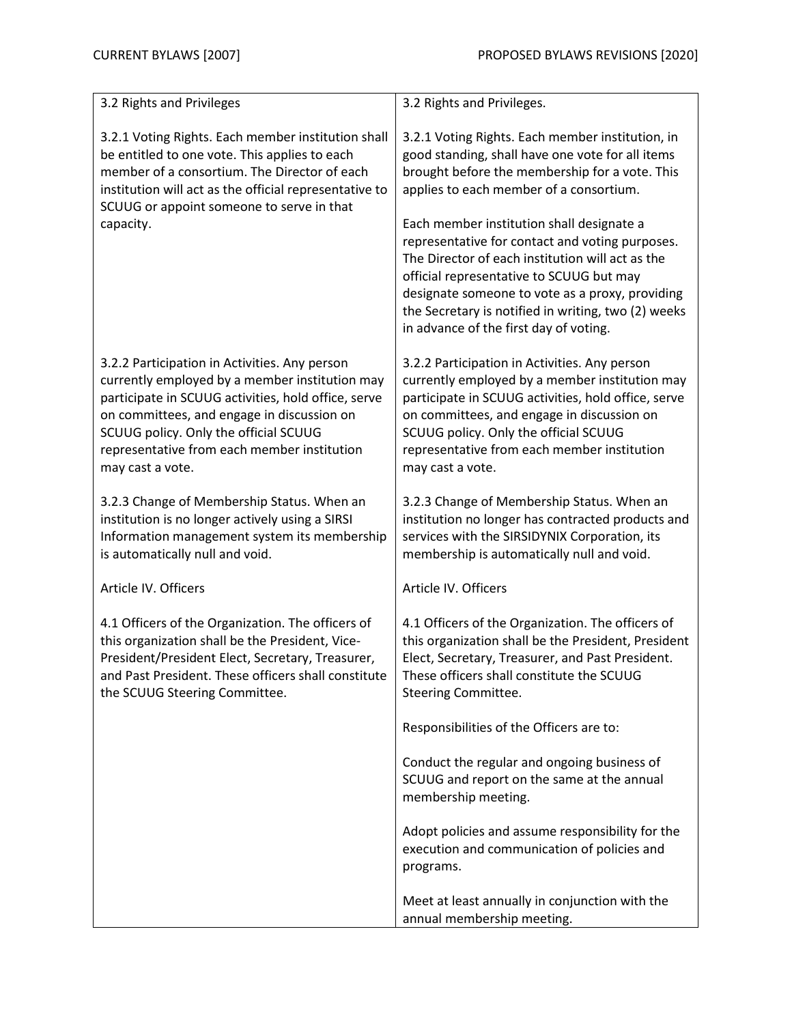| 3.2 Rights and Privileges                                                                                                                                                                                                                                                                                        | 3.2 Rights and Privileges.                                                                                                                                                                                                                                                                                                                       |
|------------------------------------------------------------------------------------------------------------------------------------------------------------------------------------------------------------------------------------------------------------------------------------------------------------------|--------------------------------------------------------------------------------------------------------------------------------------------------------------------------------------------------------------------------------------------------------------------------------------------------------------------------------------------------|
|                                                                                                                                                                                                                                                                                                                  |                                                                                                                                                                                                                                                                                                                                                  |
| 3.2.1 Voting Rights. Each member institution shall<br>be entitled to one vote. This applies to each<br>member of a consortium. The Director of each<br>institution will act as the official representative to<br>SCUUG or appoint someone to serve in that                                                       | 3.2.1 Voting Rights. Each member institution, in<br>good standing, shall have one vote for all items<br>brought before the membership for a vote. This<br>applies to each member of a consortium.                                                                                                                                                |
| capacity.                                                                                                                                                                                                                                                                                                        | Each member institution shall designate a<br>representative for contact and voting purposes.<br>The Director of each institution will act as the<br>official representative to SCUUG but may<br>designate someone to vote as a proxy, providing<br>the Secretary is notified in writing, two (2) weeks<br>in advance of the first day of voting. |
| 3.2.2 Participation in Activities. Any person<br>currently employed by a member institution may<br>participate in SCUUG activities, hold office, serve<br>on committees, and engage in discussion on<br>SCUUG policy. Only the official SCUUG<br>representative from each member institution<br>may cast a vote. | 3.2.2 Participation in Activities. Any person<br>currently employed by a member institution may<br>participate in SCUUG activities, hold office, serve<br>on committees, and engage in discussion on<br>SCUUG policy. Only the official SCUUG<br>representative from each member institution<br>may cast a vote.                                 |
| 3.2.3 Change of Membership Status. When an<br>institution is no longer actively using a SIRSI<br>Information management system its membership<br>is automatically null and void.                                                                                                                                 | 3.2.3 Change of Membership Status. When an<br>institution no longer has contracted products and<br>services with the SIRSIDYNIX Corporation, its<br>membership is automatically null and void.                                                                                                                                                   |
| Article IV. Officers                                                                                                                                                                                                                                                                                             | Article IV. Officers                                                                                                                                                                                                                                                                                                                             |
| 4.1 Officers of the Organization. The officers of<br>this organization shall be the President, Vice-<br>President/President Elect, Secretary, Treasurer,<br>and Past President. These officers shall constitute<br>the SCUUG Steering Committee.                                                                 | 4.1 Officers of the Organization. The officers of<br>this organization shall be the President, President<br>Elect, Secretary, Treasurer, and Past President.<br>These officers shall constitute the SCUUG<br>Steering Committee.                                                                                                                 |
|                                                                                                                                                                                                                                                                                                                  | Responsibilities of the Officers are to:                                                                                                                                                                                                                                                                                                         |
|                                                                                                                                                                                                                                                                                                                  | Conduct the regular and ongoing business of<br>SCUUG and report on the same at the annual<br>membership meeting.                                                                                                                                                                                                                                 |
|                                                                                                                                                                                                                                                                                                                  | Adopt policies and assume responsibility for the<br>execution and communication of policies and<br>programs.                                                                                                                                                                                                                                     |
|                                                                                                                                                                                                                                                                                                                  | Meet at least annually in conjunction with the<br>annual membership meeting.                                                                                                                                                                                                                                                                     |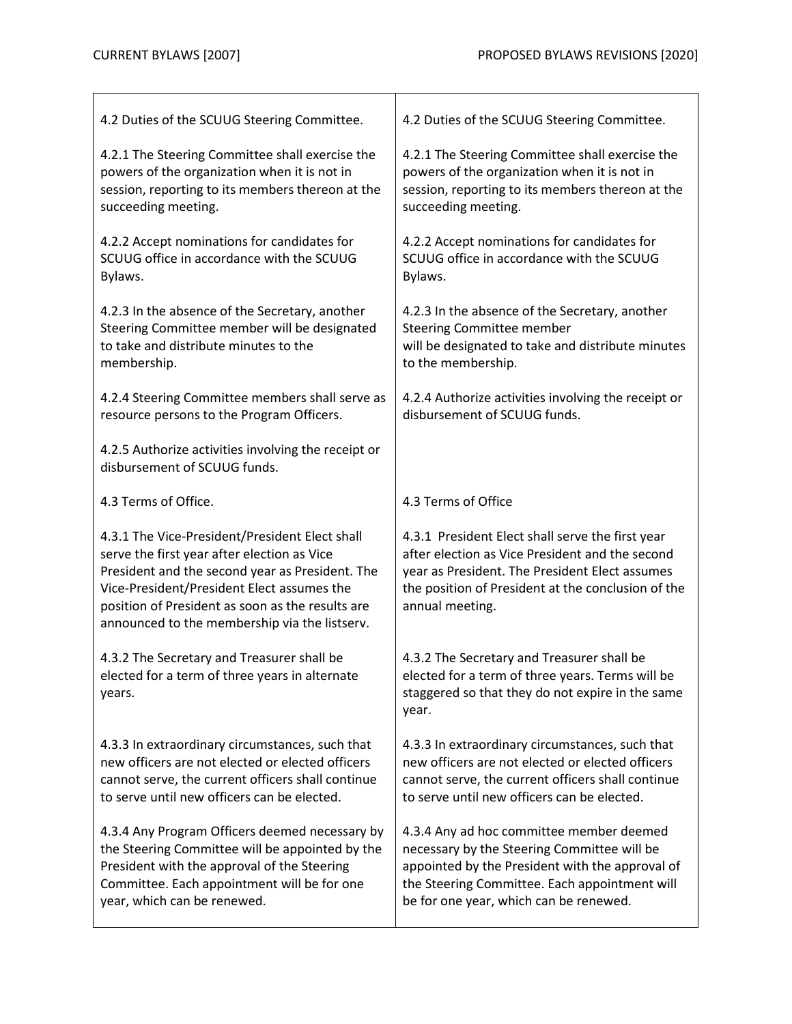| 4.2 Duties of the SCUUG Steering Committee.                                                                                                                                                                                                                                                         | 4.2 Duties of the SCUUG Steering Committee.                                                                                                                                                                                    |
|-----------------------------------------------------------------------------------------------------------------------------------------------------------------------------------------------------------------------------------------------------------------------------------------------------|--------------------------------------------------------------------------------------------------------------------------------------------------------------------------------------------------------------------------------|
| 4.2.1 The Steering Committee shall exercise the<br>powers of the organization when it is not in<br>session, reporting to its members thereon at the<br>succeeding meeting.                                                                                                                          | 4.2.1 The Steering Committee shall exercise the<br>powers of the organization when it is not in<br>session, reporting to its members thereon at the<br>succeeding meeting.                                                     |
| 4.2.2 Accept nominations for candidates for<br>SCUUG office in accordance with the SCUUG<br>Bylaws.                                                                                                                                                                                                 | 4.2.2 Accept nominations for candidates for<br>SCUUG office in accordance with the SCUUG<br>Bylaws.                                                                                                                            |
| 4.2.3 In the absence of the Secretary, another<br>Steering Committee member will be designated<br>to take and distribute minutes to the<br>membership.                                                                                                                                              | 4.2.3 In the absence of the Secretary, another<br><b>Steering Committee member</b><br>will be designated to take and distribute minutes<br>to the membership.                                                                  |
| 4.2.4 Steering Committee members shall serve as<br>resource persons to the Program Officers.                                                                                                                                                                                                        | 4.2.4 Authorize activities involving the receipt or<br>disbursement of SCUUG funds.                                                                                                                                            |
| 4.2.5 Authorize activities involving the receipt or<br>disbursement of SCUUG funds.                                                                                                                                                                                                                 |                                                                                                                                                                                                                                |
| 4.3 Terms of Office.                                                                                                                                                                                                                                                                                | 4.3 Terms of Office                                                                                                                                                                                                            |
| 4.3.1 The Vice-President/President Elect shall<br>serve the first year after election as Vice<br>President and the second year as President. The<br>Vice-President/President Elect assumes the<br>position of President as soon as the results are<br>announced to the membership via the listserv. | 4.3.1 President Elect shall serve the first year<br>after election as Vice President and the second<br>year as President. The President Elect assumes<br>the position of President at the conclusion of the<br>annual meeting. |
| 4.3.2 The Secretary and Treasurer shall be<br>elected for a term of three years in alternate<br>years.                                                                                                                                                                                              | 4.3.2 The Secretary and Treasurer shall be<br>elected for a term of three years. Terms will be                                                                                                                                 |
|                                                                                                                                                                                                                                                                                                     | staggered so that they do not expire in the same<br>year.                                                                                                                                                                      |
| 4.3.3 In extraordinary circumstances, such that<br>new officers are not elected or elected officers<br>cannot serve, the current officers shall continue<br>to serve until new officers can be elected.                                                                                             | 4.3.3 In extraordinary circumstances, such that<br>new officers are not elected or elected officers<br>cannot serve, the current officers shall continue<br>to serve until new officers can be elected.                        |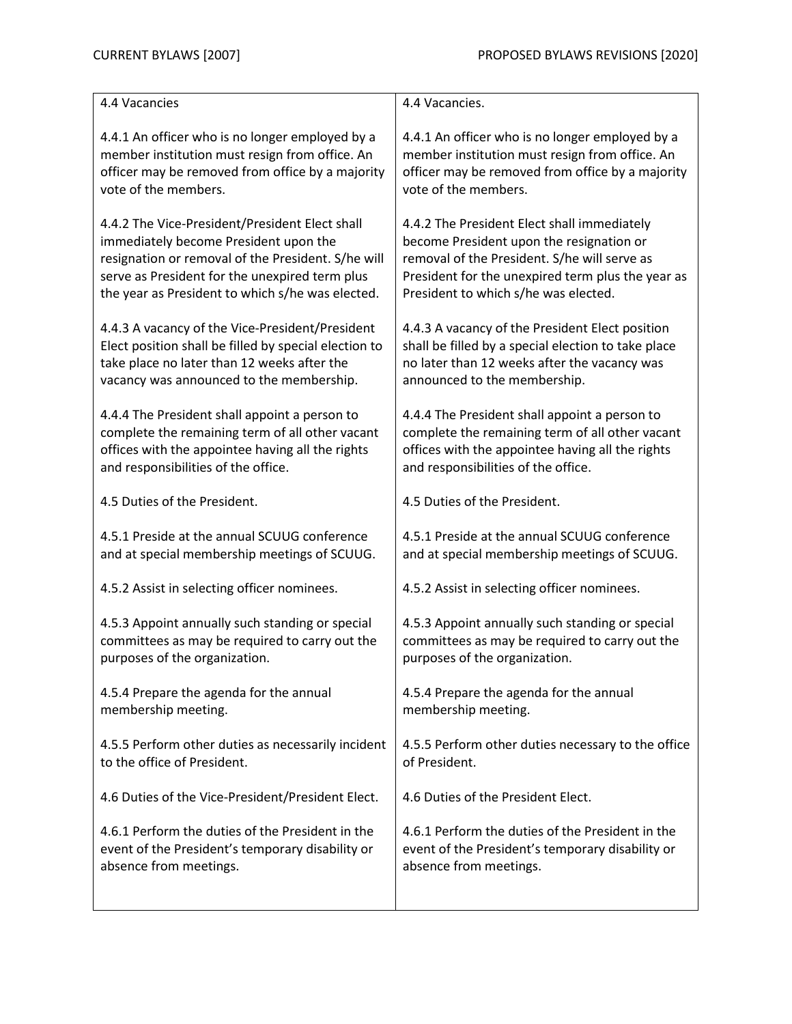| 4.4 Vacancies                                         | 4.4 Vacancies.                                      |
|-------------------------------------------------------|-----------------------------------------------------|
| 4.4.1 An officer who is no longer employed by a       | 4.4.1 An officer who is no longer employed by a     |
| member institution must resign from office. An        | member institution must resign from office. An      |
| officer may be removed from office by a majority      | officer may be removed from office by a majority    |
| vote of the members.                                  | vote of the members.                                |
| 4.4.2 The Vice-President/President Elect shall        | 4.4.2 The President Elect shall immediately         |
| immediately become President upon the                 | become President upon the resignation or            |
| resignation or removal of the President. S/he will    | removal of the President. S/he will serve as        |
| serve as President for the unexpired term plus        | President for the unexpired term plus the year as   |
| the year as President to which s/he was elected.      | President to which s/he was elected.                |
| 4.4.3 A vacancy of the Vice-President/President       | 4.4.3 A vacancy of the President Elect position     |
| Elect position shall be filled by special election to | shall be filled by a special election to take place |
| take place no later than 12 weeks after the           | no later than 12 weeks after the vacancy was        |
| vacancy was announced to the membership.              | announced to the membership.                        |
| 4.4.4 The President shall appoint a person to         | 4.4.4 The President shall appoint a person to       |
| complete the remaining term of all other vacant       | complete the remaining term of all other vacant     |
| offices with the appointee having all the rights      | offices with the appointee having all the rights    |
| and responsibilities of the office.                   | and responsibilities of the office.                 |
| 4.5 Duties of the President.                          | 4.5 Duties of the President.                        |
| 4.5.1 Preside at the annual SCUUG conference          | 4.5.1 Preside at the annual SCUUG conference        |
| and at special membership meetings of SCUUG.          | and at special membership meetings of SCUUG.        |
| 4.5.2 Assist in selecting officer nominees.           | 4.5.2 Assist in selecting officer nominees.         |
| 4.5.3 Appoint annually such standing or special       | 4.5.3 Appoint annually such standing or special     |
| committees as may be required to carry out the        | committees as may be required to carry out the      |
| purposes of the organization.                         | purposes of the organization.                       |
| 4.5.4 Prepare the agenda for the annual               | 4.5.4 Prepare the agenda for the annual             |
| membership meeting.                                   | membership meeting.                                 |
| 4.5.5 Perform other duties as necessarily incident    | 4.5.5 Perform other duties necessary to the office  |
| to the office of President.                           | of President.                                       |
| 4.6 Duties of the Vice-President/President Elect.     | 4.6 Duties of the President Elect.                  |
| 4.6.1 Perform the duties of the President in the      | 4.6.1 Perform the duties of the President in the    |
| event of the President's temporary disability or      | event of the President's temporary disability or    |
| absence from meetings.                                | absence from meetings.                              |
|                                                       |                                                     |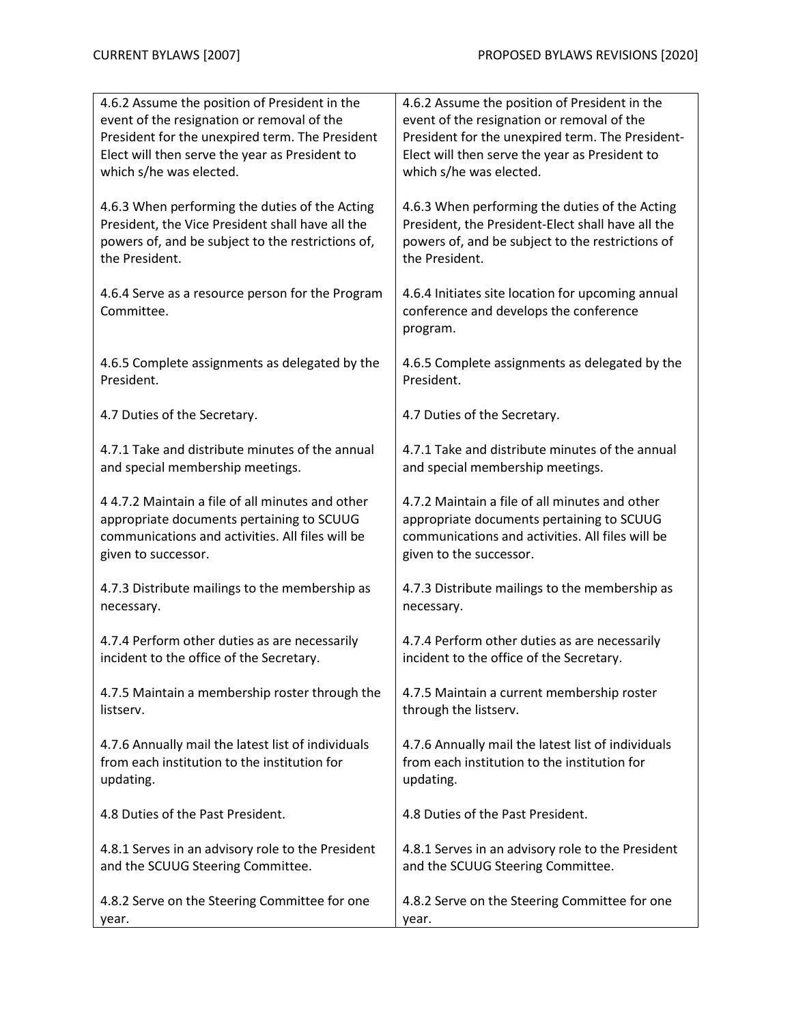| 4.6.2 Assume the position of President in the      | 4.6.2 Assume the position of President in the      |
|----------------------------------------------------|----------------------------------------------------|
| event of the resignation or removal of the         | event of the resignation or removal of the         |
| President for the unexpired term. The President    | President for the unexpired term. The President-   |
| Elect will then serve the year as President to     | Elect will then serve the year as President to     |
| which s/he was elected.                            | which s/he was elected.                            |
| 4.6.3 When performing the duties of the Acting     | 4.6.3 When performing the duties of the Acting     |
| President, the Vice President shall have all the   | President, the President-Elect shall have all the  |
| powers of, and be subject to the restrictions of,  | powers of, and be subject to the restrictions of   |
| the President.                                     | the President.                                     |
|                                                    |                                                    |
| 4.6.4 Serve as a resource person for the Program   | 4.6.4 Initiates site location for upcoming annual  |
| Committee.                                         | conference and develops the conference             |
|                                                    | program.                                           |
| 4.6.5 Complete assignments as delegated by the     | 4.6.5 Complete assignments as delegated by the     |
| President.                                         | President.                                         |
|                                                    |                                                    |
| 4.7 Duties of the Secretary.                       | 4.7 Duties of the Secretary.                       |
| 4.7.1 Take and distribute minutes of the annual    | 4.7.1 Take and distribute minutes of the annual    |
| and special membership meetings.                   | and special membership meetings.                   |
|                                                    |                                                    |
| 44.7.2 Maintain a file of all minutes and other    | 4.7.2 Maintain a file of all minutes and other     |
| appropriate documents pertaining to SCUUG          | appropriate documents pertaining to SCUUG          |
| communications and activities. All files will be   | communications and activities. All files will be   |
| given to successor.                                | given to the successor.                            |
| 4.7.3 Distribute mailings to the membership as     | 4.7.3 Distribute mailings to the membership as     |
| necessary.                                         | necessary.                                         |
|                                                    |                                                    |
| 4.7.4 Perform other duties as are necessarily      | 4.7.4 Perform other duties as are necessarily      |
| incident to the office of the Secretary.           | incident to the office of the Secretary.           |
| 4.7.5 Maintain a membership roster through the     | 4.7.5 Maintain a current membership roster         |
| listserv.                                          | through the listserv.                              |
|                                                    |                                                    |
| 4.7.6 Annually mail the latest list of individuals | 4.7.6 Annually mail the latest list of individuals |
| from each institution to the institution for       | from each institution to the institution for       |
| updating.                                          | updating.                                          |
| 4.8 Duties of the Past President.                  | 4.8 Duties of the Past President.                  |
|                                                    |                                                    |
| 4.8.1 Serves in an advisory role to the President  | 4.8.1 Serves in an advisory role to the President  |
| and the SCUUG Steering Committee.                  | and the SCUUG Steering Committee.                  |
| 4.8.2 Serve on the Steering Committee for one      | 4.8.2 Serve on the Steering Committee for one      |
| year.                                              | year.                                              |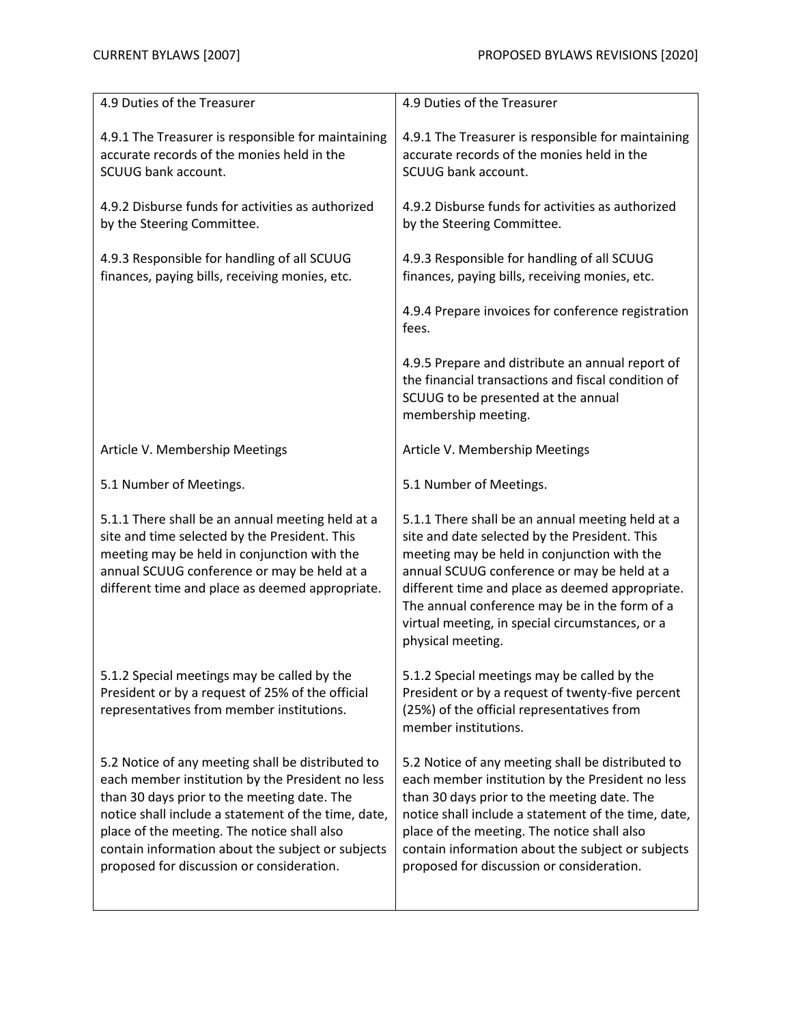| 4.9 Duties of the Treasurer                                                                                                                                                                                                                                                                                                                                  | 4.9 Duties of the Treasurer                                                                                                                                                                                                                                                                                                                                                 |
|--------------------------------------------------------------------------------------------------------------------------------------------------------------------------------------------------------------------------------------------------------------------------------------------------------------------------------------------------------------|-----------------------------------------------------------------------------------------------------------------------------------------------------------------------------------------------------------------------------------------------------------------------------------------------------------------------------------------------------------------------------|
| 4.9.1 The Treasurer is responsible for maintaining<br>accurate records of the monies held in the<br>SCUUG bank account.                                                                                                                                                                                                                                      | 4.9.1 The Treasurer is responsible for maintaining<br>accurate records of the monies held in the<br>SCUUG bank account.                                                                                                                                                                                                                                                     |
| 4.9.2 Disburse funds for activities as authorized<br>by the Steering Committee.                                                                                                                                                                                                                                                                              | 4.9.2 Disburse funds for activities as authorized<br>by the Steering Committee.                                                                                                                                                                                                                                                                                             |
| 4.9.3 Responsible for handling of all SCUUG<br>finances, paying bills, receiving monies, etc.                                                                                                                                                                                                                                                                | 4.9.3 Responsible for handling of all SCUUG<br>finances, paying bills, receiving monies, etc.                                                                                                                                                                                                                                                                               |
|                                                                                                                                                                                                                                                                                                                                                              | 4.9.4 Prepare invoices for conference registration<br>fees.                                                                                                                                                                                                                                                                                                                 |
|                                                                                                                                                                                                                                                                                                                                                              | 4.9.5 Prepare and distribute an annual report of<br>the financial transactions and fiscal condition of<br>SCUUG to be presented at the annual<br>membership meeting.                                                                                                                                                                                                        |
| Article V. Membership Meetings                                                                                                                                                                                                                                                                                                                               | Article V. Membership Meetings                                                                                                                                                                                                                                                                                                                                              |
| 5.1 Number of Meetings.                                                                                                                                                                                                                                                                                                                                      | 5.1 Number of Meetings.                                                                                                                                                                                                                                                                                                                                                     |
| 5.1.1 There shall be an annual meeting held at a<br>site and time selected by the President. This<br>meeting may be held in conjunction with the<br>annual SCUUG conference or may be held at a<br>different time and place as deemed appropriate.                                                                                                           | 5.1.1 There shall be an annual meeting held at a<br>site and date selected by the President. This<br>meeting may be held in conjunction with the<br>annual SCUUG conference or may be held at a<br>different time and place as deemed appropriate.<br>The annual conference may be in the form of a<br>virtual meeting, in special circumstances, or a<br>physical meeting. |
| 5.1.2 Special meetings may be called by the<br>President or by a request of 25% of the official<br>representatives from member institutions.                                                                                                                                                                                                                 | 5.1.2 Special meetings may be called by the<br>President or by a request of twenty-five percent<br>(25%) of the official representatives from<br>member institutions.                                                                                                                                                                                                       |
| 5.2 Notice of any meeting shall be distributed to<br>each member institution by the President no less<br>than 30 days prior to the meeting date. The<br>notice shall include a statement of the time, date,<br>place of the meeting. The notice shall also<br>contain information about the subject or subjects<br>proposed for discussion or consideration. | 5.2 Notice of any meeting shall be distributed to<br>each member institution by the President no less<br>than 30 days prior to the meeting date. The<br>notice shall include a statement of the time, date,<br>place of the meeting. The notice shall also<br>contain information about the subject or subjects<br>proposed for discussion or consideration.                |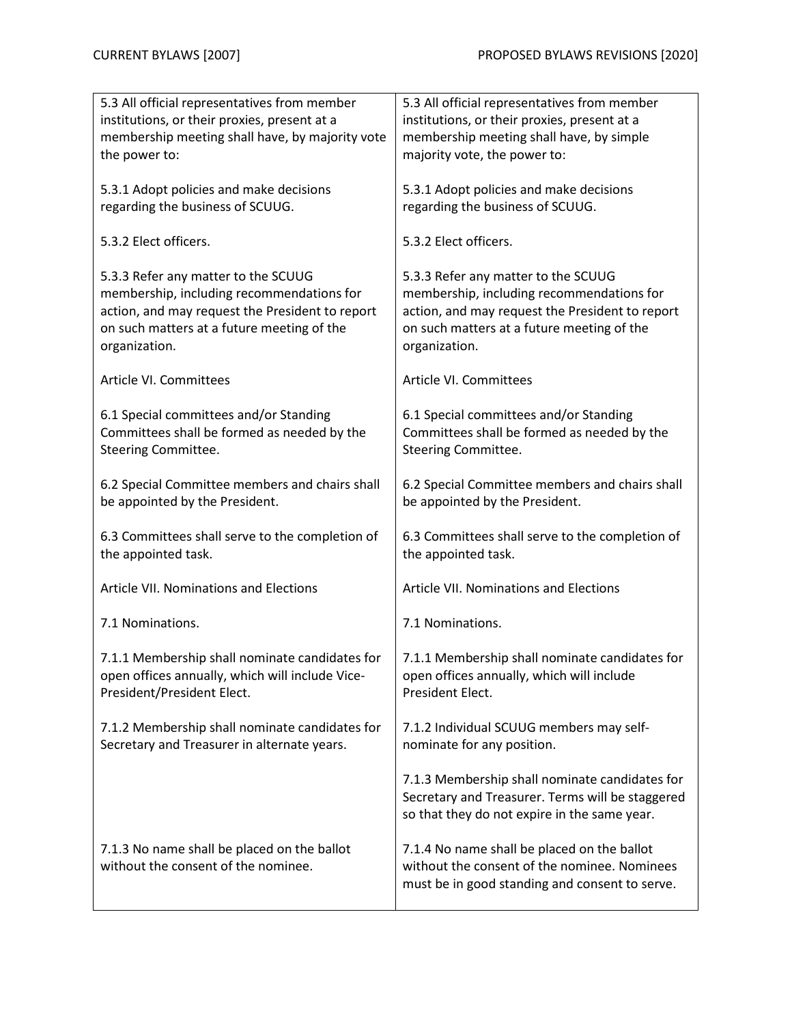| 5.3 All official representatives from member                                          | 5.3 All official representatives from member                                          |
|---------------------------------------------------------------------------------------|---------------------------------------------------------------------------------------|
| institutions, or their proxies, present at a                                          | institutions, or their proxies, present at a                                          |
| membership meeting shall have, by majority vote                                       | membership meeting shall have, by simple                                              |
| the power to:                                                                         | majority vote, the power to:                                                          |
|                                                                                       |                                                                                       |
| 5.3.1 Adopt policies and make decisions                                               | 5.3.1 Adopt policies and make decisions                                               |
| regarding the business of SCUUG.                                                      | regarding the business of SCUUG.                                                      |
|                                                                                       |                                                                                       |
| 5.3.2 Elect officers.                                                                 | 5.3.2 Elect officers.                                                                 |
|                                                                                       |                                                                                       |
| 5.3.3 Refer any matter to the SCUUG                                                   | 5.3.3 Refer any matter to the SCUUG                                                   |
| membership, including recommendations for                                             | membership, including recommendations for                                             |
| action, and may request the President to report                                       | action, and may request the President to report                                       |
| on such matters at a future meeting of the                                            | on such matters at a future meeting of the                                            |
| organization.                                                                         | organization.                                                                         |
|                                                                                       |                                                                                       |
| Article VI. Committees                                                                | Article VI. Committees                                                                |
|                                                                                       |                                                                                       |
| 6.1 Special committees and/or Standing<br>Committees shall be formed as needed by the | 6.1 Special committees and/or Standing<br>Committees shall be formed as needed by the |
| <b>Steering Committee.</b>                                                            | <b>Steering Committee.</b>                                                            |
|                                                                                       |                                                                                       |
| 6.2 Special Committee members and chairs shall                                        | 6.2 Special Committee members and chairs shall                                        |
| be appointed by the President.                                                        | be appointed by the President.                                                        |
|                                                                                       |                                                                                       |
| 6.3 Committees shall serve to the completion of                                       | 6.3 Committees shall serve to the completion of                                       |
| the appointed task.                                                                   | the appointed task.                                                                   |
|                                                                                       |                                                                                       |
| <b>Article VII. Nominations and Elections</b>                                         | Article VII. Nominations and Elections                                                |
|                                                                                       |                                                                                       |
| 7.1 Nominations.                                                                      | 7.1 Nominations.                                                                      |
| 7.1.1 Membership shall nominate candidates for                                        | 7.1.1 Membership shall nominate candidates for                                        |
| open offices annually, which will include Vice-                                       | open offices annually, which will include                                             |
| President/President Elect.                                                            | President Elect.                                                                      |
|                                                                                       |                                                                                       |
| 7.1.2 Membership shall nominate candidates for                                        | 7.1.2 Individual SCUUG members may self-                                              |
| Secretary and Treasurer in alternate years.                                           | nominate for any position.                                                            |
|                                                                                       |                                                                                       |
|                                                                                       | 7.1.3 Membership shall nominate candidates for                                        |
|                                                                                       | Secretary and Treasurer. Terms will be staggered                                      |
|                                                                                       | so that they do not expire in the same year.                                          |
|                                                                                       |                                                                                       |
| 7.1.3 No name shall be placed on the ballot                                           | 7.1.4 No name shall be placed on the ballot                                           |
| without the consent of the nominee.                                                   | without the consent of the nominee. Nominees                                          |
|                                                                                       | must be in good standing and consent to serve.                                        |
|                                                                                       |                                                                                       |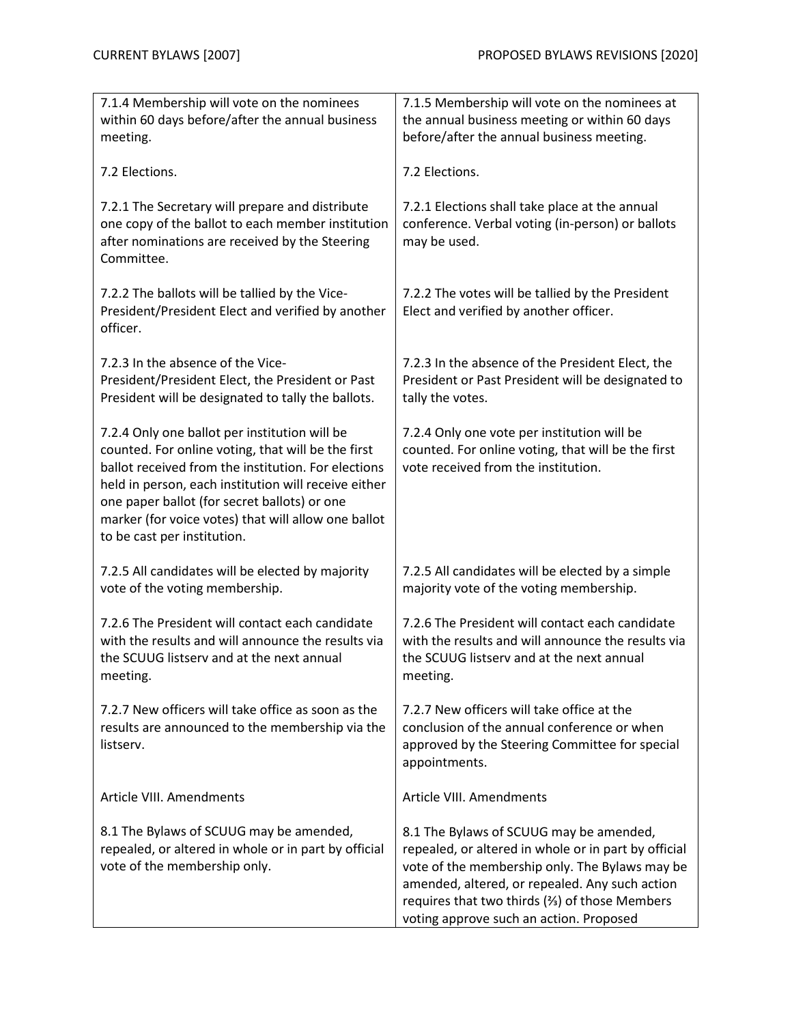| 7.1.4 Membership will vote on the nominees<br>within 60 days before/after the annual business                                                                                                                                                                                                                                                            | 7.1.5 Membership will vote on the nominees at<br>the annual business meeting or within 60 days                                                                                                                                                                                                  |
|----------------------------------------------------------------------------------------------------------------------------------------------------------------------------------------------------------------------------------------------------------------------------------------------------------------------------------------------------------|-------------------------------------------------------------------------------------------------------------------------------------------------------------------------------------------------------------------------------------------------------------------------------------------------|
| meeting.                                                                                                                                                                                                                                                                                                                                                 | before/after the annual business meeting.                                                                                                                                                                                                                                                       |
| 7.2 Elections.                                                                                                                                                                                                                                                                                                                                           | 7.2 Elections.                                                                                                                                                                                                                                                                                  |
| 7.2.1 The Secretary will prepare and distribute<br>one copy of the ballot to each member institution<br>after nominations are received by the Steering<br>Committee.                                                                                                                                                                                     | 7.2.1 Elections shall take place at the annual<br>conference. Verbal voting (in-person) or ballots<br>may be used.                                                                                                                                                                              |
| 7.2.2 The ballots will be tallied by the Vice-<br>President/President Elect and verified by another<br>officer.                                                                                                                                                                                                                                          | 7.2.2 The votes will be tallied by the President<br>Elect and verified by another officer.                                                                                                                                                                                                      |
| 7.2.3 In the absence of the Vice-<br>President/President Elect, the President or Past<br>President will be designated to tally the ballots.                                                                                                                                                                                                              | 7.2.3 In the absence of the President Elect, the<br>President or Past President will be designated to<br>tally the votes.                                                                                                                                                                       |
| 7.2.4 Only one ballot per institution will be<br>counted. For online voting, that will be the first<br>ballot received from the institution. For elections<br>held in person, each institution will receive either<br>one paper ballot (for secret ballots) or one<br>marker (for voice votes) that will allow one ballot<br>to be cast per institution. | 7.2.4 Only one vote per institution will be<br>counted. For online voting, that will be the first<br>vote received from the institution.                                                                                                                                                        |
| 7.2.5 All candidates will be elected by majority<br>vote of the voting membership.                                                                                                                                                                                                                                                                       | 7.2.5 All candidates will be elected by a simple<br>majority vote of the voting membership.                                                                                                                                                                                                     |
| 7.2.6 The President will contact each candidate<br>with the results and will announce the results via<br>the SCUUG listserv and at the next annual<br>meeting.                                                                                                                                                                                           | 7.2.6 The President will contact each candidate<br>with the results and will announce the results via<br>the SCUUG listserv and at the next annual<br>meeting.                                                                                                                                  |
| 7.2.7 New officers will take office as soon as the<br>results are announced to the membership via the<br>listserv.                                                                                                                                                                                                                                       | 7.2.7 New officers will take office at the<br>conclusion of the annual conference or when<br>approved by the Steering Committee for special<br>appointments.                                                                                                                                    |
| Article VIII. Amendments                                                                                                                                                                                                                                                                                                                                 | Article VIII. Amendments                                                                                                                                                                                                                                                                        |
| 8.1 The Bylaws of SCUUG may be amended,<br>repealed, or altered in whole or in part by official<br>vote of the membership only.                                                                                                                                                                                                                          | 8.1 The Bylaws of SCUUG may be amended,<br>repealed, or altered in whole or in part by official<br>vote of the membership only. The Bylaws may be<br>amended, altered, or repealed. Any such action<br>requires that two thirds (%) of those Members<br>voting approve such an action. Proposed |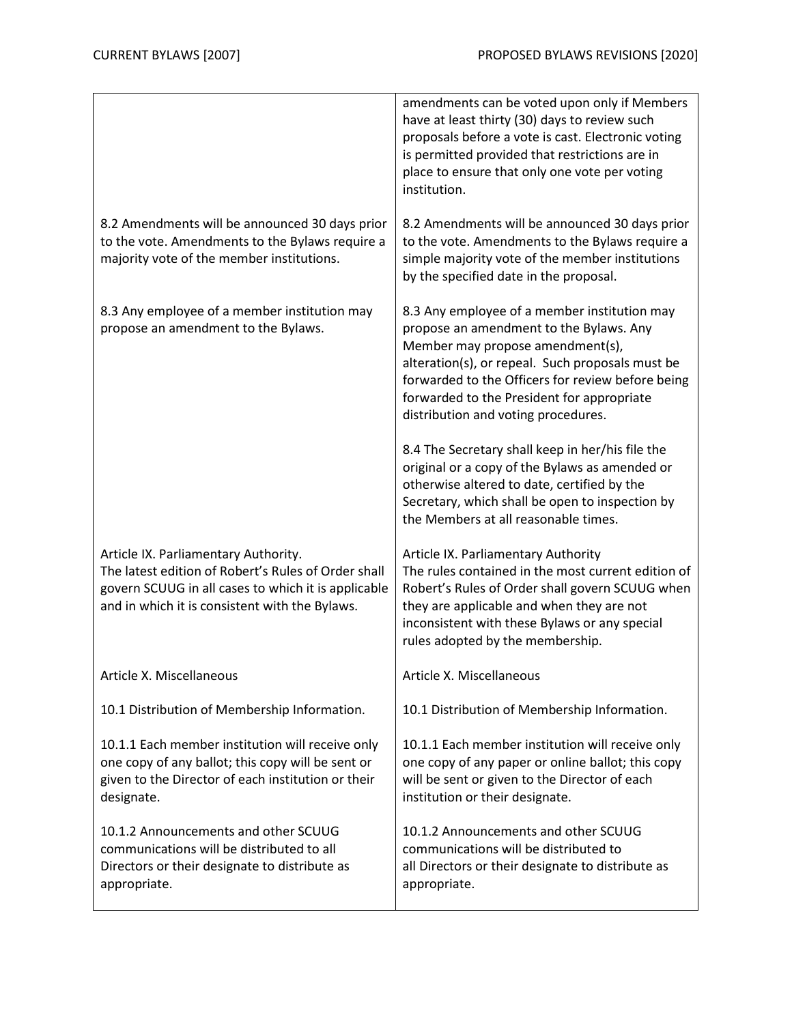|                                                                                                                                                                                                      | amendments can be voted upon only if Members<br>have at least thirty (30) days to review such<br>proposals before a vote is cast. Electronic voting<br>is permitted provided that restrictions are in<br>place to ensure that only one vote per voting<br>institution.                                                    |
|------------------------------------------------------------------------------------------------------------------------------------------------------------------------------------------------------|---------------------------------------------------------------------------------------------------------------------------------------------------------------------------------------------------------------------------------------------------------------------------------------------------------------------------|
| 8.2 Amendments will be announced 30 days prior<br>to the vote. Amendments to the Bylaws require a<br>majority vote of the member institutions.                                                       | 8.2 Amendments will be announced 30 days prior<br>to the vote. Amendments to the Bylaws require a<br>simple majority vote of the member institutions<br>by the specified date in the proposal.                                                                                                                            |
| 8.3 Any employee of a member institution may<br>propose an amendment to the Bylaws.                                                                                                                  | 8.3 Any employee of a member institution may<br>propose an amendment to the Bylaws. Any<br>Member may propose amendment(s),<br>alteration(s), or repeal. Such proposals must be<br>forwarded to the Officers for review before being<br>forwarded to the President for appropriate<br>distribution and voting procedures. |
|                                                                                                                                                                                                      | 8.4 The Secretary shall keep in her/his file the<br>original or a copy of the Bylaws as amended or<br>otherwise altered to date, certified by the<br>Secretary, which shall be open to inspection by<br>the Members at all reasonable times.                                                                              |
| Article IX. Parliamentary Authority.<br>The latest edition of Robert's Rules of Order shall<br>govern SCUUG in all cases to which it is applicable<br>and in which it is consistent with the Bylaws. | Article IX. Parliamentary Authority<br>The rules contained in the most current edition of<br>Robert's Rules of Order shall govern SCUUG when<br>they are applicable and when they are not<br>inconsistent with these Bylaws or any special<br>rules adopted by the membership.                                            |
| Article X. Miscellaneous                                                                                                                                                                             | Article X. Miscellaneous                                                                                                                                                                                                                                                                                                  |
| 10.1 Distribution of Membership Information.                                                                                                                                                         | 10.1 Distribution of Membership Information.                                                                                                                                                                                                                                                                              |
| 10.1.1 Each member institution will receive only<br>one copy of any ballot; this copy will be sent or<br>given to the Director of each institution or their<br>designate.                            | 10.1.1 Each member institution will receive only<br>one copy of any paper or online ballot; this copy<br>will be sent or given to the Director of each<br>institution or their designate.                                                                                                                                 |
| 10.1.2 Announcements and other SCUUG<br>communications will be distributed to all<br>Directors or their designate to distribute as<br>appropriate.                                                   | 10.1.2 Announcements and other SCUUG<br>communications will be distributed to<br>all Directors or their designate to distribute as<br>appropriate.                                                                                                                                                                        |